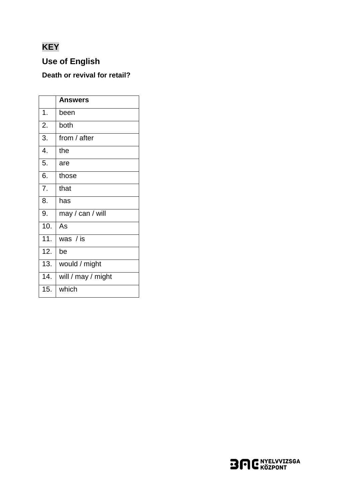# **KEY**

# **Use of English**

## Death or revival for retail?

|                   | <b>Answers</b>     |
|-------------------|--------------------|
| 1.                | been               |
| 2.                | both               |
| 3.                | from / after       |
| 4.                | the                |
| 5.                | are                |
| 6.                | those              |
| 7.                | that               |
| 8.                | has                |
| 9.                | may / can / will   |
| 10.               | As                 |
| 11.               | was / is           |
| $\overline{12}$ . | be                 |
| 13.               | would / might      |
| 14.               | will / may / might |
| 15.               | which              |

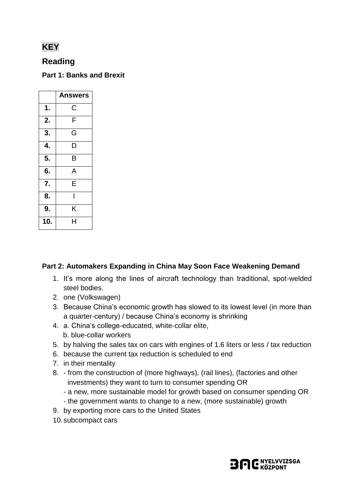## **KEY**

## **Reading**

**Part 1: Banks and Brexit**

|     | <b>Answers</b> |
|-----|----------------|
| 1.  | Ć              |
| 2.  | F              |
| 3.  | G              |
| 4.  | D              |
| 5.  | B              |
| 6.  | A              |
| 7.  | E              |
| 8.  |                |
| 9.  | Κ              |
| 10. | H              |

#### **Part 2: Automakers Expanding in China May Soon Face Weakening Demand**

- 1. It's more along the lines of aircraft technology than traditional, spot-welded steel bodies.
- 2. one (Volkswagen)
- 3. Because China's economic growth has slowed to its lowest level (in more than a quarter-century) / because China's economy is shrinking
- 4. a. China's college-educated, white-collar elite, b. blue-collar workers
- 5. by halving the sales tax on cars with engines of 1.6 liters or less / tax reduction
- 6. because the current tax reduction is scheduled to end
- 7. in their mentality
- 8. from the construction of (more highways), (rail lines), (factories and other investments) they want to turn to consumer spending OR
	- a new, more sustainable model for growth based on consumer spending OR
	- the government wants to change to a new, (more sustainable) growth
- 9. by exporting more cars to the United States
- 10.subcompact cars

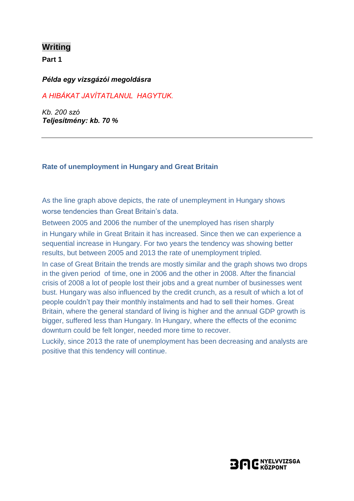## **Writing**

**Part 1**

#### *Példa egy vizsgázói megoldásra*

### *A HIBÁKAT JAVÍTATLANUL HAGYTUK.*

*Kb. 200 szó Teljesítmény: kb. 70 %*

#### **Rate of unemployment in Hungary and Great Britain**

As the line graph above depicts, the rate of unempleyment in Hungary shows worse tendencies than Great Britain's data.

Between 2005 and 2006 the number of the unemployed has risen sharply in Hungary while in Great Britain it has increased. Since then we can experience a sequential increase in Hungary. For two years the tendency was showing better results, but between 2005 and 2013 the rate of unemployment tripled.

In case of Great Britain the trends are mostly similar and the graph shows two drops in the given period of time, one in 2006 and the other in 2008. After the financial crisis of 2008 a lot of people lost their jobs and a great number of businesses went bust. Hungary was also influenced by the credit crunch, as a result of which a lot of people couldn't pay their monthly instalments and had to sell their homes. Great Britain, where the general standard of living is higher and the annual GDP growth is bigger, suffered less than Hungary. In Hungary, where the effects of the econimc downturn could be felt longer, needed more time to recover.

Luckily, since 2013 the rate of unemployment has been decreasing and analysts are positive that this tendency will continue.